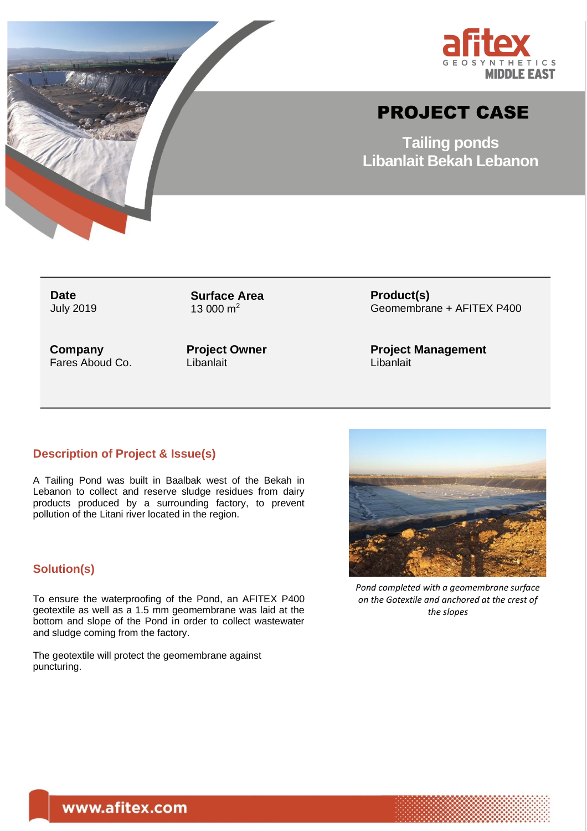



# PROJECT CASE

**Tailing ponds Libanlait Bekah Lebanon**

**Date** July 2019 **Surface Area** 13 000  $m^2$ 

**Company** Fares Aboud Co. **Project Owner Libanlait** 

**Product(s)** Geomembrane + AFITEX P400

**Project Management Libanlait** 

## **Description of Project & Issue(s)**

A Tailing Pond was built in Baalbak west of the Bekah in Lebanon to collect and reserve sludge residues from dairy products produced by a surrounding factory, to prevent pollution of the Litani river located in the region.

## **Solution(s)**

To ensure the waterproofing of the Pond, an AFITEX P400 geotextile as well as a 1.5 mm geomembrane was laid at the bottom and slope of the Pond in order to collect wastewater and sludge coming from the factory.

The geotextile will protect the geomembrane against puncturing.



*Pond completed with a geomembrane surface on the Gotextile and anchored at the crest of the slopes*